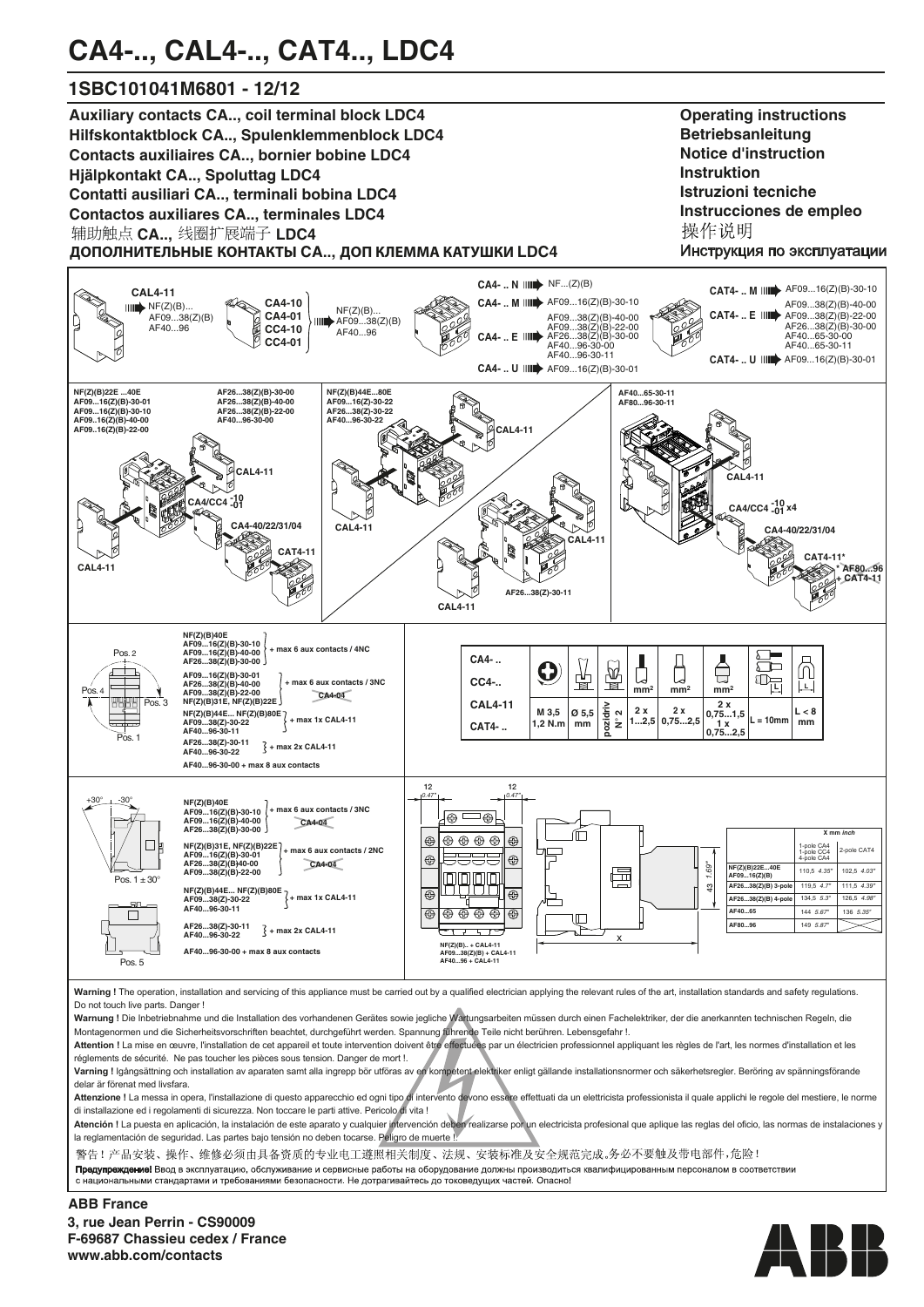## **CA4-.., CAL4-.., CAT4.., LDC4**

## **1SBC101041M6801 - 12/12**

**Operating instructions Auxiliary contacts CA.., coil terminal block LDC4 Hilfskontaktblock CA.., Spulenklemmenblock LDC4 Betriebsanleitung Notice d'instruction Contacts auxiliaires CA.., bornier bobine LDC4 Hjälpkontakt CA.., Spoluttag LDC4 Instruktion Istruzioni tecniche Contatti ausiliari CA.., terminali bobina LDC4 Instrucciones de empleo Contactos auxiliares CA.., terminales LDC4** 操作说明 **CA.., LDC4** 辅助触点 线圈扩展端子 Инструкция по эксплуатации ДОПОЛНИТЕЛЬНЫЕ КОНТАКТЫ СА.., ДОП КЛЕММА КАТУШКИ LDC4 **CA4- .. N** NF...(Z)(B) **CA4-10**<br>CA4-01 **CAT4- .. M** AF09...16(Z)(B)-30-10 **CAL4-11**  $III \rightarrow NF(Z)(B)$ . AF09...38(Z)(B)-40-00 **CA4- .. M** AF09...16(Z)(B)-30-10  $NF(Z)(B)$ . AF09...38(Z)(B) **CA4-01 CAT4- .. E** AF09...38(Z)(B)-22-00 AF09...38(Z)(B) AF09...38(Z)(B)-40-00 AF09...38(Z)(B)-22-00 AF26...38(Z)(B)-30-00 AF40...96-30-00 AF40...96 **CC4-10** AF26...38(Z)(B)-30-00 AF40...65-30-00 AF40...65-30-11 AF40...96 **CA4- E** IIII **CC4-01** AF40...96-30-11 **CAT4- .. U** AF09...16(Z)(B)-30-01 **CA4- .. U** AF09...16(Z)(B)-30-01 **NF(Z)(B)22E ...40E NF(Z)(B)44E...80E AF26...38(Z)(B)-30-00 AF26...38(Z)(B)-40-00 AF40...65-30-11 AF80...96-30-11 AF09...16(Z)(B)-30-01 AF09...16(Z)-30-22 AF09...16(Z)(B)-30-10 AF26...38(Z)(B)-22-00 AF26...38(Z)-30-22 AF09..16(Z)(B)-40-00 AF40...96-30-00 AF40...96-30-22 AF09..16(Z)(B)-22-00 CAL4-11 CAL4-11 CAL4-11 CA4/CC4 -10 -01 CA4/CC4 -10 -01 x4 CA4-40/22/31/04 CAL4 CA4-40/22/31/04 CAL4-11 CAT4-11 CAT4-11\* CAL4-11 \* AF80...96 + CAT4-11 AF26...38(Z)-30-11 CAL4-11 NF(Z)(B)40E AF09...16(Z)(B)-30-10 AF09...16(Z)(B)-40-00 + max 6 aux contacts / 4NC**  Pos. 2 **CA4- .. AF26...38(Z)(B)-30-00**  $\frac{1}{2}$  $\frac{1}{2}$ ភិ⊏ O  $\bigoplus$ ⋒ **L**  $\Box$ **AF09...16(Z)(B)-30-01 AF26...38(Z)(B)-40-00 AF09...38(Z)(B)-22-00 NF(Z)(B)31E, NF(Z)(B)22E**  lc **+ max 6 aux contacts / 3NC CC4-.. L**  $mm<sup>2</sup>$  **mm<sup>2</sup> mm<sup>2</sup>** Pos. 4 **CA4-04** Pos. 3 **CAL4-11**  $\frac{2 \times}{75}$  1.5 **pozidriv 2 x** ر<br>1 x<br>1 x **L < 8 M** 3,5  $|0, 5, 5|$   $\frac{5}{6}$   $\approx$   $|2 \times 1, 2 \times 2$ **N° 2 NF(Z)(B)44E... NF(Z)(B)80E AF09...38(Z)-30-22 + max 1x CAL4-11 0,75...2,5 L = 10mm 1,2 N.m 1...2,5 mm CAT4- .. mm AF40...96-30-11** 0.75. Pos. 1  $AF26...38(Z)-30-11$ <br> $AF40.96-30-22$ <br> $\frac{2}{3}$  + max 2x CAL4-11 **AF40...96-30-22 AF40...96-30-00 + max 8 aux contacts** *0.47"* 12 *0.47"* 12  $+30^\circ$   $-30^\circ$ **NF(Z)(B)40E**<br>AF09...16(Z)(B)-30-10 + max 6 aux contacts / 3NC  $\Box$ @ ⊕ **CA4-04 AF09...16(Z)(B)-40-00 AF26...38(Z)(B)-30-00** ſГ **X mm** *inch* € ⊕  $\overline{\oplus\oplus\oplus}$ € **NF(Z)(B)31E, NF(Z)(B)22E AF09...16(Z)(B)-30-01 + max 6 aux contacts / 2NC** 1-pole CA4 1-pole CC4 4-pole CA4 2-pole CAT4 € € **CA4-04 AF26...38(Z)(B)-40-00 AF09...38(Z)(B)-22-00**  43 *1.69"* 110,5 *4.35"* 卣 102,5 *4.03"* **NF(Z)(B)22E...40E AF09...16(Z)(B)** والواقات  $P$ os. 1  $\pm$  30°  **AF26...38(Z)(B) 3-pole** 119,5 *4.7"* 111,5 *4.39"* ПГ **NF(Z)(B)44E... NF(Z)(B)80E AF09...38(Z)-30-22**  $\overline{6}$ €  $\left\}$  + max 1x CAL4-11  **AF26...38(Z)(B) 4-pole** 134,5 *5.3"* 126,5 *4.98"* **AF40...96-30-11**  $\overline{\oplus}$  $\overline{\bigoplus}$ € 144 *5.67"* 136 *5.35"*  $\Box$ ⊕ ⊕  **AF40...65** lГ **AF26...38(Z)-30-11** 149 *5.87"*  **AF80...96**  $\frac{2}{3}$  + max 2x CAL4-11 **AF40...96-30-22** X **NF(Z)(B).. + CAL4-11 AF40...96-30-00 + max 8 aux contacts AF09...38(Z)(B) + CAL4-11 AF40...96 + CAL4-11** Pos. 5 Warning **!** The operation, installation and servicing of this appliance must be carried out by a qualified electrician applying the relevant rules of the art, installation standards and safety regulations. Do not touch live parts. Danger ! **Warnung** ! Die Inbetriebnahme und die Installation des vorhandenen Gerätes sowie jegliche Wartungsarbeiten müssen durch einen Fachelektriker, der die anerkannten technischen Regeln, die Montagenormen und die Sicherheitsvorschriften beachtet, durchgeführt werden. Spannung führende Teile nicht berühren. Lebensgefahr !.

Attention ! La mise en œuvre, l'installation de cet appareil et toute intervention doivent être effectuées par un électricien professionnel appliquant les règles de l'art, les normes d'installation et les réglements de sécurité. Ne pas toucher les pièces sous tension. Danger de mort !.<br>Varning ! Igângsättning och installation av aparaten samt alla ingrepp bör utföras av

**Varning !** Igångsättning och installation av aparaten samt alla ingrepp bör utföras av en kompetent elektriker enligt gällande installationsnormer och säkerhetsregler. Beröring av spänningsförande delar är förenat med livsfara.

Attenzione ! La messa in opera, l'installazione di questo apparecchio ed ogni tipo di intervento devono essere effettuati da un elettricista professionista il quale applichi le regole del mestiere, le norme di installazione ed i regolamenti di sicurezza. Non toccare le parti attive. Pericolo di vita !

Atención ! La puesta en aplicación, la instalación de este aparato y cualquier intervención deben realizarse por un electricista profesional que aplique las reglas del oficio, las normas de instalaciones y la reglamentación de seguridad. Las partes bajo tensión no deben tocarse. Peligro de muerte !!

警告!产品安装、操作、维修必须由具备资质的专业电工遵照相关制度、法规、安装标准及安全规范完成。务必不要触及带电部件,危险!

Прелупреждение! Ввод в эксплуатацию, обслуживание и сервисные работы на оборудование должны производиться квалифицированным персоналом в соответствии с национальными стандартами и требованиями безопасности. Не дотрагивайтесь до токоведущих частей. Опасно!

## **ABB France 3, rue Jean Perrin - CS90009**

**www.abb.com/contacts F-69687 Chassieu cedex / France**